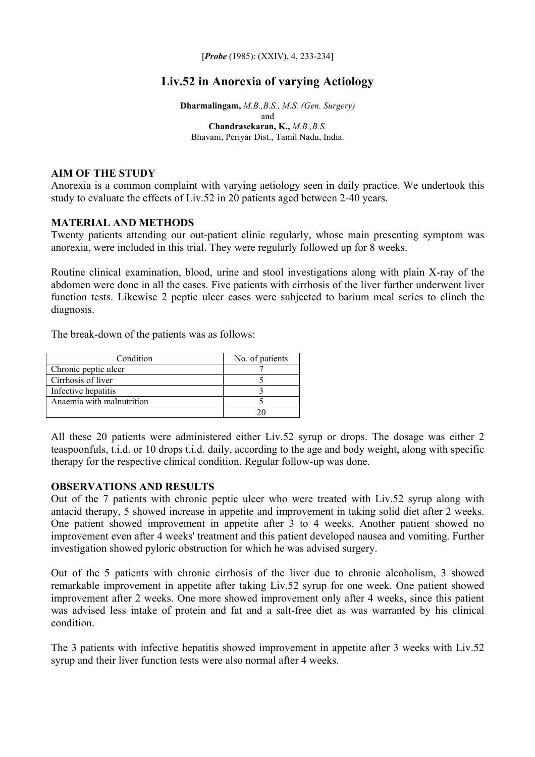[*Probe* (1985): (XXIV), 4, 233-234]

# **Liv.52 in Anorexia of varying Aetiology**

**Dharmalingam,** *M.B.,B.S., M.S. (Gen. Surgery)* and **Chandrasekaran, K.,** *M.B.,B.S.*  Bhavani, Periyar Dist., Tamil Nadu, India.

#### **AIM OF THE STUDY**

Anorexia is a common complaint with varying aetiology seen in daily practice. We undertook this study to evaluate the effects of Liv.52 in 20 patients aged between 2-40 years.

### **MATERIAL AND METHODS**

Twenty patients attending our out-patient clinic regularly, whose main presenting symptom was anorexia, were included in this trial. They were regularly followed up for 8 weeks.

Routine clinical examination, blood, urine and stool investigations along with plain X-ray of the abdomen were done in all the cases. Five patients with cirrhosis of the liver further underwent liver function tests. Likewise 2 peptic ulcer cases were subjected to barium meal series to clinch the diagnosis.

The break-down of the patients was as follows:

| Condition                 | No. of patients |
|---------------------------|-----------------|
| Chronic peptic ulcer      |                 |
| Cirrhosis of liver        |                 |
| Infective hepatitis       |                 |
| Anaemia with malnutrition |                 |
|                           |                 |

All these 20 patients were administered either Liv.52 syrup or drops. The dosage was either 2 teaspoonfuls, t.i.d. or 10 drops t.i.d. daily, according to the age and body weight, along with specific therapy for the respective clinical condition. Regular follow-up was done.

### **OBSERVATIONS AND RESULTS**

Out of the 7 patients with chronic peptic ulcer who were treated with Liv.52 syrup along with antacid therapy, 5 showed increase in appetite and improvement in taking solid diet after 2 weeks. One patient showed improvement in appetite after 3 to 4 weeks. Another patient showed no improvement even after 4 weeks' treatment and this patient developed nausea and vomiting. Further investigation showed pyloric obstruction for which he was advised surgery.

Out of the 5 patients with chronic cirrhosis of the liver due to chronic alcoholism, 3 showed remarkable improvement in appetite after taking Liv.52 syrup for one week. One patient showed improvement after 2 weeks. One more showed improvement only after 4 weeks, since this patient was advised less intake of protein and fat and a salt-free diet as was warranted by his clinical condition.

The 3 patients with infective hepatitis showed improvement in appetite after 3 weeks with Liv.52 syrup and their liver function tests were also normal after 4 weeks.